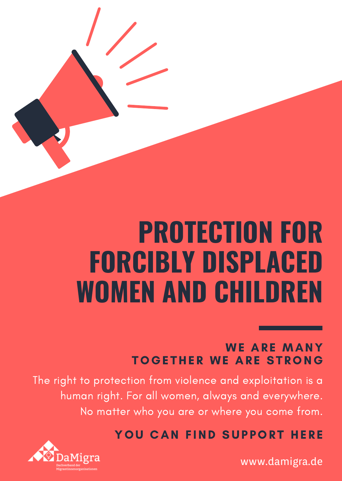

## **PROTECTION FOR FORCIBLY DISPLACED WOMEN AND CHILDREN**

### WE ARE MANY TOGETHER WE ARE STRONG

The right to protection from violence and exploitation is a human right. For all women, always and everywhere. No matter who you are or where you come from.



www.damigra.de

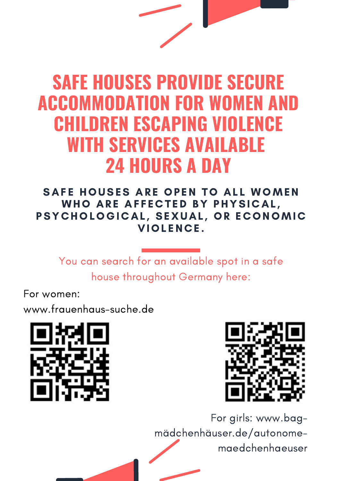### **SAFE HOUSES PROVIDE SECURE ACCOMMODATION FOR WOMEN AND CHILDREN ESCAPING VIOLENCE WITH SERVICES AVAILABLE 24 HOURS A DAY**

SAFE HOUSES ARE OPEN TO ALL WOMEN WHO ARE AFFECTED BY PHYSICAL, PSYCHOLOGICAL, SEXUAL, OR ECONOMIC VIOLENCE.

You can search for an available spot in a safe house throughout Germany here:

For women:

[www.frauenhaus-suche.de](http://www.frauenhaus-suche.de/)





For girls: www.bag[mädchenhäuser.de/autonome](https://www.xn--bag-mdchenhuser-4kbg.de/autonome-maedchenhaeuser)maedchenhaeuser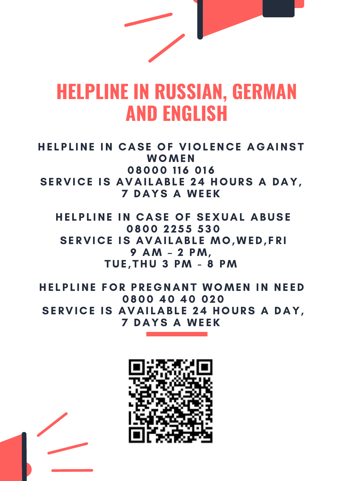

## **HELPLINE IN RUSSIAN, GERMAN AND ENGLISH**

HELPLINE IN CASE OF VIOLENCE AGAINST WOMEN 08000 116 016 SERVICE IS AVAILABLE 24 HOURS A DAY, **7 DAYS A WEEK** 

HELPLINE IN CASE OF SEXUAL ABUSE 0800 2255 530 SERVICE IS AVAILABLE MO, WED, FRI 9 AM – 2 PM, TUE , THU 3 PM - 8 PM

HELPLINE FOR PREGNANT WOMEN IN NEED 0800 40 40 020 SERVICE IS AVAILABLE 24 HOURS A DAY, 7 DAYS A WE EK



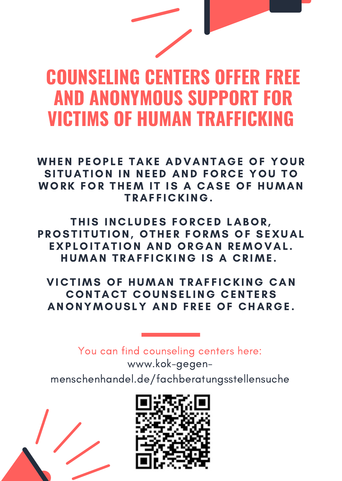## **COUNSELING CENTERS OFFER FREE AND ANONYMOUS SUPPORT FOR VICTIMS OF HUMAN TRAFFICKING**

WHEN PEOPLE TAKE ADVANTAGE OF YOUR SITUATION IN NEED AND FORCE YOU TO WORK FOR THEM IT IS A CASE OF HUMAN TRAFFICKING.

THIS INCLUDES FORCED LABOR, PROSTITUTION, OTHER FORMS OF SEXUAL EXPLOITATION AND ORGAN REMOVAL. HUMAN TRAFFICKING IS A CRIME.

VICTIMS OF HUMAN TRAFFICKING CAN **CONTACT COUNSELING CENTERS** ANONYMOUSLY AND FREE OF CHARGE.

You can find counseling centers here:

www.kok-gegen[menschenhandel.de/fachberatungsstellensuche](http://www.kok-gegen-menschenhandel.de/fachberatungsstellensuche)



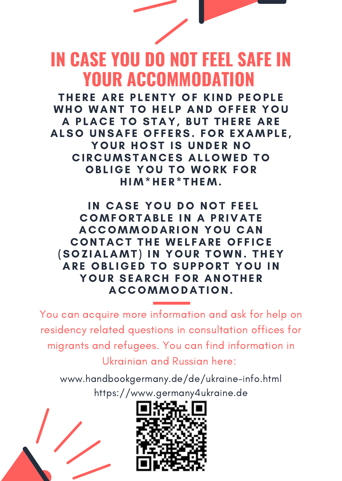

THERE ARE PLENTY OF KIND PEOPLE WHO WANT TO HELP AND OFFER YOU A PLACE TO STAY, BUT THERE ARE ALSO UNSAFE OFFERS. FOR EXAMPLE, YOUR HOST IS UNDER NO CIRCUMSTANCES ALLOWED TO OBLIGE YOU TO WORK FOR HIM\*HE R \* THEM.

IN CASE YOU DO NOT FEEL COMFORTABLE IN A PRIVATE ACCOMMODARION YOU CAN **CONTACT THE WELFARE OFFICE** (SOZIALAMT) IN YOUR TOWN. THEY ARE OBLIGED TO SUPPORT YOU IN YOUR SEARCH FOR ANOTHER ACCOMMODATION.

You can acquire more information and ask for help on residency related questions in consultation offices for migrants and refugees. You can find information in Ukrainian and Russian here:

www.handbookgermany.de/de/ukraine-info.html https://www.germany4ukraine.de